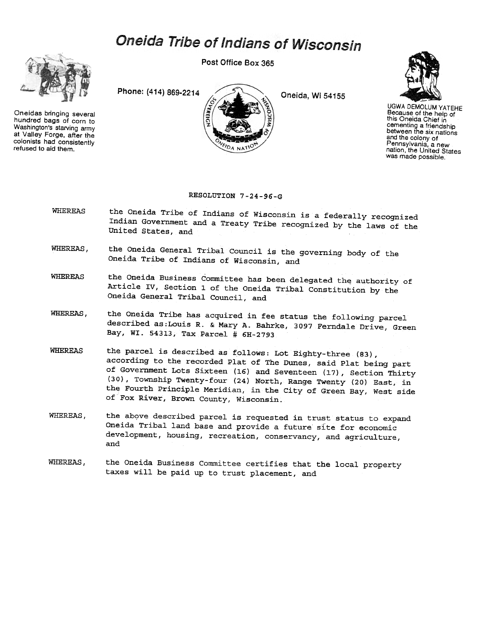## Oneida Tribe of Indians of Wisconsin



Oneidas bringing several hundred bags of corn to Washington's starving army at Valley Forge. after the colonists had consistently refused to aid them.

Post Office Box 365

Phone: (414) 869-2214 Oneida, Wi 54155





UGWA DEMOLUM YATEHE Because of the help of this Oneida Chief in cementing a friendship between the six nations and the colony of Pennsylvania, a new nation, the United States was made possible.

## RESOLUTION 7-24-96-G

- WHEREAS the Oneida Tribe of Indians of Wisconsin is a federally recognized Indian Government and a Treaty Tribe recognized by the laws of the United States, and
- WHEREAS, the Oneida General Tribal Council is the governing body of the Oneida Tribe of Indians of Wisconsin, and
- WHEREAS the Oneida Business Committee has been delegated the authority of Article IV, Section 1 of the Oneida Tribal Constitution by the Oneida General Tribal Council, and
- WHEREAS, the Oneida Tribe has acquired in fee status the following parcel described as:Louis R. & Mary A. Bahrke, 3097 Ferndale Drive, Green Bay, WI. 54313, Tax Parcel # 6H-2793
- WHEREAS the parcel is described as follows: Lot Eighty-three (83), according to the recorded Plat o£ The Dunes, said Plat being part of Government Lots Sixteen (16) and Seventeen (17), Section Thirty (30), ToWnship Twenty-four (24) North, Range Twenty (20) East, in the Fourth Principle Meridian, in the City of Green Bay, West side of Fox River, Brown County, Wisconsin.
- WHEREAS, the above described parcel is requested in trust status to expand Oneida Tribal land base and provide a future site for economic development, housing, recreation, conservancy, and agriculture, and
- WHEREAS, the Oneida Business Committee certifies that the local property taxes will be paid up to trust placement, and